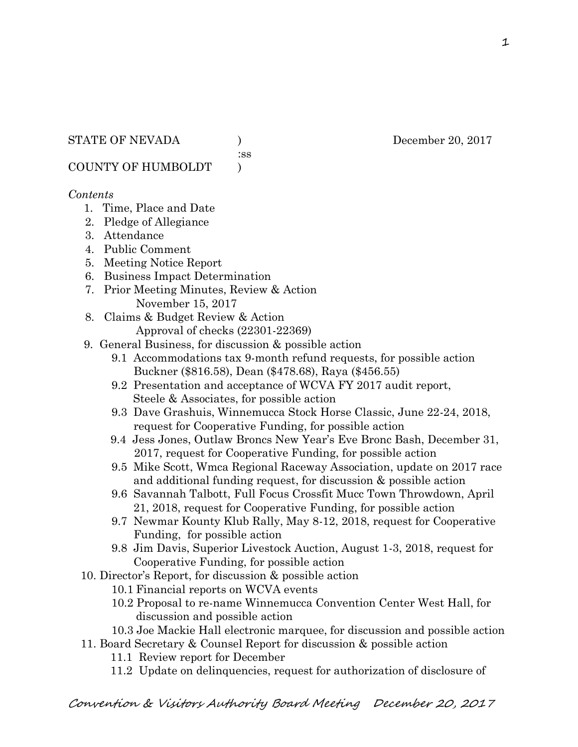:ss

COUNTY OF HUMBOLDT )

## *Contents*

- 1. Time, Place and Date
- 2. Pledge of Allegiance
- 3. Attendance
- 4. Public Comment
- 5. Meeting Notice Report
- 6. Business Impact Determination
- 7. Prior Meeting Minutes, Review & Action November 15, 2017
- 8. Claims & Budget Review & Action
	- Approval of checks (22301-22369)
- 9. General Business, for discussion & possible action
	- 9.1 Accommodations tax 9-month refund requests, for possible action Buckner (\$816.58), Dean (\$478.68), Raya (\$456.55)
	- 9.2 Presentation and acceptance of WCVA FY 2017 audit report, Steele & Associates, for possible action
	- 9.3 Dave Grashuis, Winnemucca Stock Horse Classic, June 22-24, 2018, request for Cooperative Funding, for possible action
	- 9.4 Jess Jones, Outlaw Broncs New Year's Eve Bronc Bash, December 31, 2017, request for Cooperative Funding, for possible action
	- 9.5 Mike Scott, Wmca Regional Raceway Association, update on 2017 race and additional funding request, for discussion & possible action
	- 9.6 Savannah Talbott, Full Focus Crossfit Mucc Town Throwdown, April 21, 2018, request for Cooperative Funding, for possible action
	- 9.7 Newmar Kounty Klub Rally, May 8-12, 2018, request for Cooperative Funding, for possible action
	- 9.8 Jim Davis, Superior Livestock Auction, August 1-3, 2018, request for Cooperative Funding, for possible action
- 10. Director's Report, for discussion & possible action
	- 10.1 Financial reports on WCVA events
	- 10.2 Proposal to re-name Winnemucca Convention Center West Hall, for discussion and possible action
	- 10.3 Joe Mackie Hall electronic marquee, for discussion and possible action
- 11. Board Secretary & Counsel Report for discussion & possible action
	- 11.1 Review report for December
	- 11.2 Update on delinquencies, request for authorization of disclosure of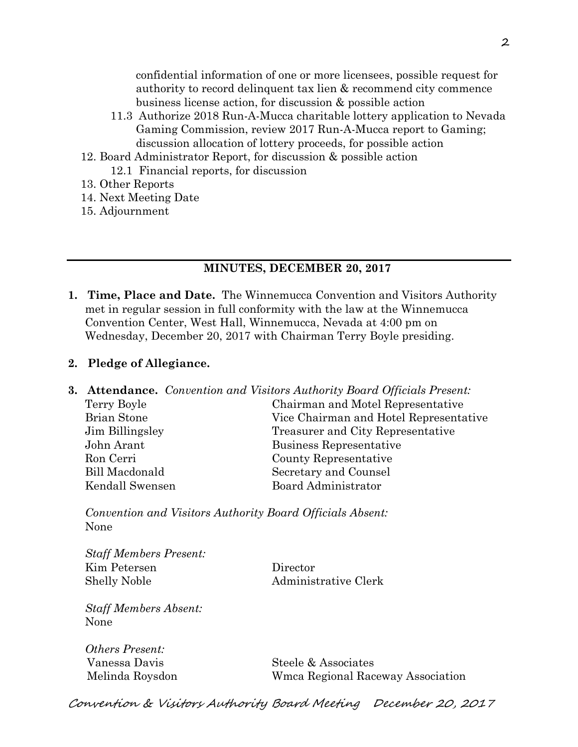confidential information of one or more licensees, possible request for authority to record delinquent tax lien & recommend city commence business license action, for discussion & possible action

- 11.3 Authorize 2018 Run-A-Mucca charitable lottery application to Nevada Gaming Commission, review 2017 Run-A-Mucca report to Gaming; discussion allocation of lottery proceeds, for possible action
- 12. Board Administrator Report, for discussion & possible action 12.1 Financial reports, for discussion
- 13. Other Reports
- 14. Next Meeting Date
- 15. Adjournment

### **MINUTES, DECEMBER 20, 2017**

**1. Time, Place and Date.** The Winnemucca Convention and Visitors Authority met in regular session in full conformity with the law at the Winnemucca Convention Center, West Hall, Winnemucca, Nevada at 4:00 pm on Wednesday, December 20, 2017 with Chairman Terry Boyle presiding.

### **2. Pledge of Allegiance.**

|                    | <b>3. Attendance.</b> Convention and Visitors Authority Board Officials Present: |
|--------------------|----------------------------------------------------------------------------------|
| Terry Boyle        | Chairman and Motel Representative                                                |
| <b>Brian Stone</b> | Vice Chairman and Hotel Representative                                           |
| Jim Billingsley    | Treasurer and City Representative                                                |
| John Arant         | Business Representative                                                          |
| Ron Cerri          | County Representative                                                            |
| Bill Macdonald     | Secretary and Counsel                                                            |
| Kendall Swensen    | Board Administrator                                                              |
|                    |                                                                                  |

*Convention and Visitors Authority Board Officials Absent:*  None

*Staff Members Present:*  Kim Petersen Director Shelly Noble Administrative Clerk

*Staff Members Absent:*  None

*Others Present:* 

Vanessa Davis Steele & Associates Melinda Roysdon Wmca Regional Raceway Association

Convention & Visitors Authority Board Meeting December 20, 2017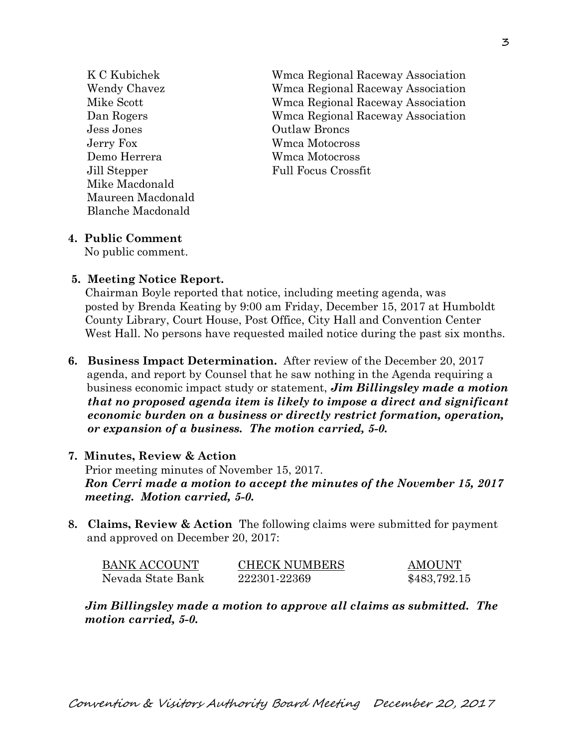Jess Jones Outlaw Broncs Jerry Fox Wmca Motocross Demo Herrera Wmca Motocross Jill Stepper Full Focus Crossfit Mike Macdonald Maureen Macdonald Blanche Macdonald

 K C Kubichek Wmca Regional Raceway Association Wendy Chavez Wmca Regional Raceway Association Mike Scott Wmca Regional Raceway Association Dan Rogers Wmca Regional Raceway Association

### **4. Public Comment**

No public comment.

#### **5. Meeting Notice Report.**

Chairman Boyle reported that notice, including meeting agenda, was posted by Brenda Keating by 9:00 am Friday, December 15, 2017 at Humboldt County Library, Court House, Post Office, City Hall and Convention Center West Hall. No persons have requested mailed notice during the past six months.

**6. Business Impact Determination.** After review of the December 20, 2017 agenda, and report by Counsel that he saw nothing in the Agenda requiring a business economic impact study or statement, *Jim Billingsley made a motion that no proposed agenda item is likely to impose a direct and significant economic burden on a business or directly restrict formation, operation, or expansion of a business. The motion carried, 5-0.* 

#### **7. Minutes, Review & Action**

Prior meeting minutes of November 15, 2017.

*Ron Cerri made a motion to accept the minutes of the November 15, 2017 meeting. Motion carried, 5-0.* 

**8. Claims, Review & Action** The following claims were submitted for payment and approved on December 20, 2017:

| <b>BANK ACCOUNT</b> | <b>CHECK NUMBERS</b> | AMOUNT       |
|---------------------|----------------------|--------------|
| Nevada State Bank   | 222301-22369         | \$483,792.15 |

*Jim Billingsley made a motion to approve all claims as submitted. The motion carried, 5-0.*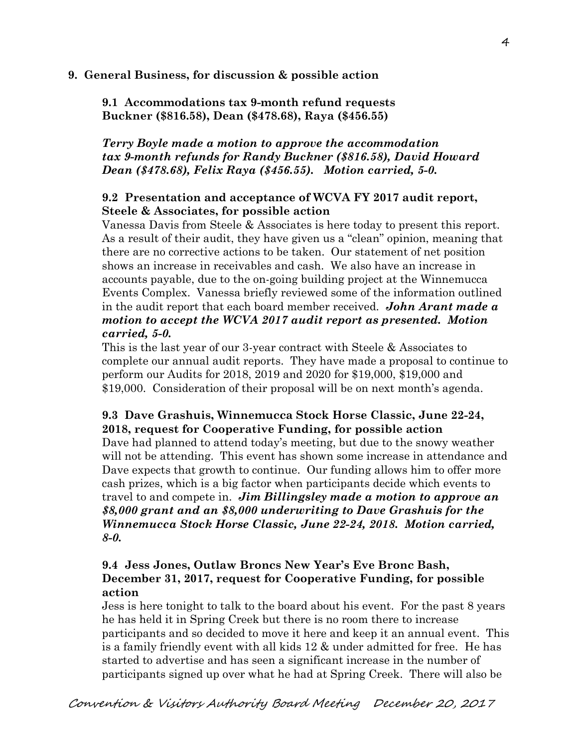### **9. General Business, for discussion & possible action**

**9.1 Accommodations tax 9-month refund requests Buckner (\$816.58), Dean (\$478.68), Raya (\$456.55)** 

*Terry Boyle made a motion to approve the accommodation tax 9-month refunds for Randy Buckner (\$816.58), David Howard Dean (\$478.68), Felix Raya (\$456.55). Motion carried, 5-0.* 

## **9.2 Presentation and acceptance of WCVA FY 2017 audit report, Steele & Associates, for possible action**

Vanessa Davis from Steele & Associates is here today to present this report. As a result of their audit, they have given us a "clean" opinion, meaning that there are no corrective actions to be taken. Our statement of net position shows an increase in receivables and cash. We also have an increase in accounts payable, due to the on-going building project at the Winnemucca Events Complex. Vanessa briefly reviewed some of the information outlined in the audit report that each board member received. *John Arant made a motion to accept the WCVA 2017 audit report as presented. Motion carried, 5-0.* 

This is the last year of our 3-year contract with Steele & Associates to complete our annual audit reports. They have made a proposal to continue to perform our Audits for 2018, 2019 and 2020 for \$19,000, \$19,000 and \$19,000. Consideration of their proposal will be on next month's agenda.

# **9.3 Dave Grashuis, Winnemucca Stock Horse Classic, June 22-24, 2018, request for Cooperative Funding, for possible action**

Dave had planned to attend today's meeting, but due to the snowy weather will not be attending. This event has shown some increase in attendance and Dave expects that growth to continue. Our funding allows him to offer more cash prizes, which is a big factor when participants decide which events to travel to and compete in. *Jim Billingsley made a motion to approve an \$8,000 grant and an \$8,000 underwriting to Dave Grashuis for the Winnemucca Stock Horse Classic, June 22-24, 2018. Motion carried, 8-0.* 

## **9.4 Jess Jones, Outlaw Broncs New Year's Eve Bronc Bash, December 31, 2017, request for Cooperative Funding, for possible action**

Jess is here tonight to talk to the board about his event. For the past 8 years he has held it in Spring Creek but there is no room there to increase participants and so decided to move it here and keep it an annual event. This is a family friendly event with all kids 12 & under admitted for free. He has started to advertise and has seen a significant increase in the number of participants signed up over what he had at Spring Creek. There will also be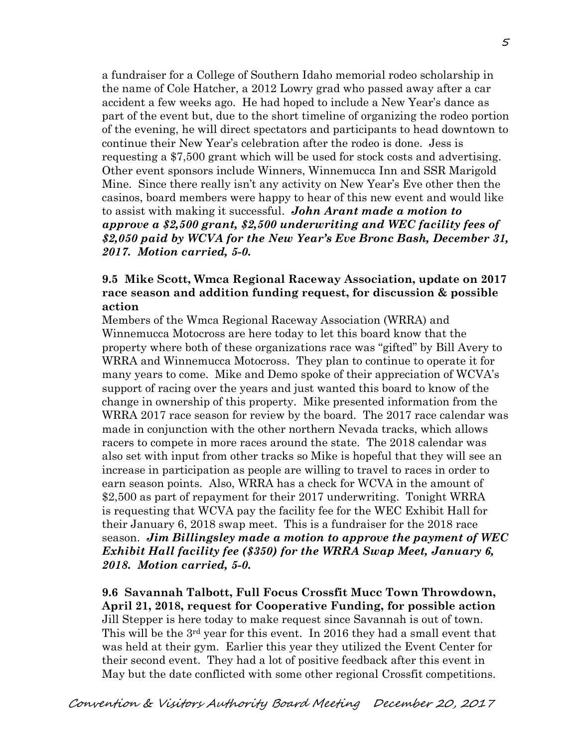a fundraiser for a College of Southern Idaho memorial rodeo scholarship in the name of Cole Hatcher, a 2012 Lowry grad who passed away after a car accident a few weeks ago. He had hoped to include a New Year's dance as part of the event but, due to the short timeline of organizing the rodeo portion of the evening, he will direct spectators and participants to head downtown to continue their New Year's celebration after the rodeo is done. Jess is requesting a \$7,500 grant which will be used for stock costs and advertising. Other event sponsors include Winners, Winnemucca Inn and SSR Marigold Mine. Since there really isn't any activity on New Year's Eve other then the casinos, board members were happy to hear of this new event and would like to assist with making it successful. *John Arant made a motion to approve a \$2,500 grant, \$2,500 underwriting and WEC facility fees of \$2,050 paid by WCVA for the New Year's Eve Bronc Bash, December 31, 2017. Motion carried, 5-0.*

## **9.5 Mike Scott, Wmca Regional Raceway Association, update on 2017 race season and addition funding request, for discussion & possible action**

Members of the Wmca Regional Raceway Association (WRRA) and Winnemucca Motocross are here today to let this board know that the property where both of these organizations race was "gifted" by Bill Avery to WRRA and Winnemucca Motocross. They plan to continue to operate it for many years to come. Mike and Demo spoke of their appreciation of WCVA's support of racing over the years and just wanted this board to know of the change in ownership of this property. Mike presented information from the WRRA 2017 race season for review by the board. The 2017 race calendar was made in conjunction with the other northern Nevada tracks, which allows racers to compete in more races around the state. The 2018 calendar was also set with input from other tracks so Mike is hopeful that they will see an increase in participation as people are willing to travel to races in order to earn season points. Also, WRRA has a check for WCVA in the amount of \$2,500 as part of repayment for their 2017 underwriting. Tonight WRRA is requesting that WCVA pay the facility fee for the WEC Exhibit Hall for their January 6, 2018 swap meet. This is a fundraiser for the 2018 race season. *Jim Billingsley made a motion to approve the payment of WEC Exhibit Hall facility fee (\$350) for the WRRA Swap Meet, January 6, 2018. Motion carried, 5-0.* 

**9.6 Savannah Talbott, Full Focus Crossfit Mucc Town Throwdown, April 21, 2018, request for Cooperative Funding, for possible action**  Jill Stepper is here today to make request since Savannah is out of town. This will be the 3<sup>rd</sup> year for this event. In 2016 they had a small event that was held at their gym. Earlier this year they utilized the Event Center for their second event. They had a lot of positive feedback after this event in May but the date conflicted with some other regional Crossfit competitions.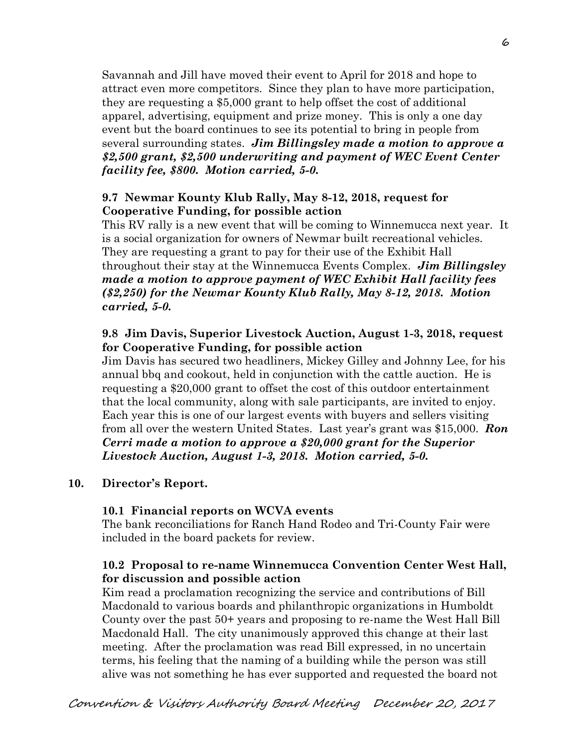Savannah and Jill have moved their event to April for 2018 and hope to attract even more competitors. Since they plan to have more participation, they are requesting a \$5,000 grant to help offset the cost of additional apparel, advertising, equipment and prize money. This is only a one day event but the board continues to see its potential to bring in people from several surrounding states. *Jim Billingsley made a motion to approve a \$2,500 grant, \$2,500 underwriting and payment of WEC Event Center facility fee, \$800. Motion carried, 5-0.*

## **9.7 Newmar Kounty Klub Rally, May 8-12, 2018, request for Cooperative Funding, for possible action**

This RV rally is a new event that will be coming to Winnemucca next year. It is a social organization for owners of Newmar built recreational vehicles. They are requesting a grant to pay for their use of the Exhibit Hall throughout their stay at the Winnemucca Events Complex. *Jim Billingsley made a motion to approve payment of WEC Exhibit Hall facility fees (\$2,250) for the Newmar Kounty Klub Rally, May 8-12, 2018. Motion carried, 5-0.* 

## **9.8 Jim Davis, Superior Livestock Auction, August 1-3, 2018, request for Cooperative Funding, for possible action**

Jim Davis has secured two headliners, Mickey Gilley and Johnny Lee, for his annual bbq and cookout, held in conjunction with the cattle auction. He is requesting a \$20,000 grant to offset the cost of this outdoor entertainment that the local community, along with sale participants, are invited to enjoy. Each year this is one of our largest events with buyers and sellers visiting from all over the western United States. Last year's grant was \$15,000. *Ron Cerri made a motion to approve a \$20,000 grant for the Superior Livestock Auction, August 1-3, 2018. Motion carried, 5-0.* 

# **10. Director's Report.**

### **10.1 Financial reports on WCVA events**

The bank reconciliations for Ranch Hand Rodeo and Tri-County Fair were included in the board packets for review.

# **10.2 Proposal to re-name Winnemucca Convention Center West Hall, for discussion and possible action**

Kim read a proclamation recognizing the service and contributions of Bill Macdonald to various boards and philanthropic organizations in Humboldt County over the past 50+ years and proposing to re-name the West Hall Bill Macdonald Hall. The city unanimously approved this change at their last meeting. After the proclamation was read Bill expressed, in no uncertain terms, his feeling that the naming of a building while the person was still alive was not something he has ever supported and requested the board not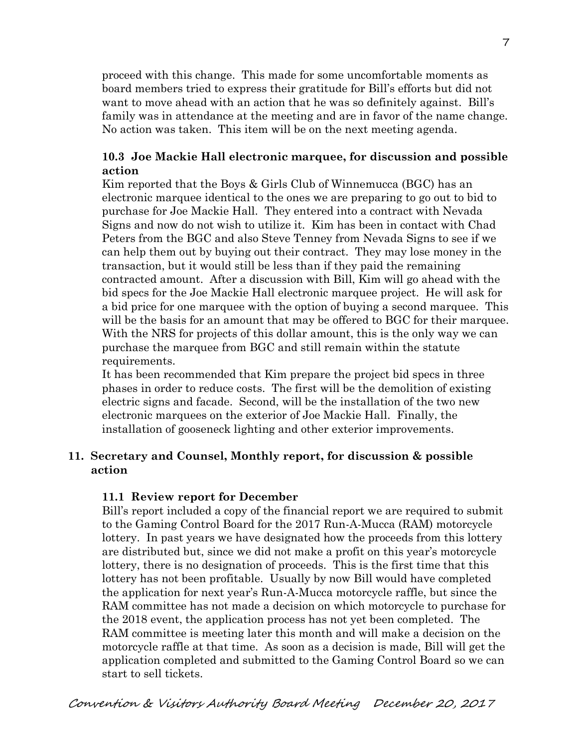proceed with this change. This made for some uncomfortable moments as board members tried to express their gratitude for Bill's efforts but did not want to move ahead with an action that he was so definitely against. Bill's family was in attendance at the meeting and are in favor of the name change. No action was taken. This item will be on the next meeting agenda.

## **10.3 Joe Mackie Hall electronic marquee, for discussion and possible action**

Kim reported that the Boys & Girls Club of Winnemucca (BGC) has an electronic marquee identical to the ones we are preparing to go out to bid to purchase for Joe Mackie Hall. They entered into a contract with Nevada Signs and now do not wish to utilize it. Kim has been in contact with Chad Peters from the BGC and also Steve Tenney from Nevada Signs to see if we can help them out by buying out their contract. They may lose money in the transaction, but it would still be less than if they paid the remaining contracted amount. After a discussion with Bill, Kim will go ahead with the bid specs for the Joe Mackie Hall electronic marquee project. He will ask for a bid price for one marquee with the option of buying a second marquee. This will be the basis for an amount that may be offered to BGC for their marquee. With the NRS for projects of this dollar amount, this is the only way we can purchase the marquee from BGC and still remain within the statute requirements.

It has been recommended that Kim prepare the project bid specs in three phases in order to reduce costs. The first will be the demolition of existing electric signs and facade. Second, will be the installation of the two new electronic marquees on the exterior of Joe Mackie Hall. Finally, the installation of gooseneck lighting and other exterior improvements.

## **11. Secretary and Counsel, Monthly report, for discussion & possible action**

### **11.1 Review report for December**

Bill's report included a copy of the financial report we are required to submit to the Gaming Control Board for the 2017 Run-A-Mucca (RAM) motorcycle lottery. In past years we have designated how the proceeds from this lottery are distributed but, since we did not make a profit on this year's motorcycle lottery, there is no designation of proceeds. This is the first time that this lottery has not been profitable. Usually by now Bill would have completed the application for next year's Run-A-Mucca motorcycle raffle, but since the RAM committee has not made a decision on which motorcycle to purchase for the 2018 event, the application process has not yet been completed. The RAM committee is meeting later this month and will make a decision on the motorcycle raffle at that time. As soon as a decision is made, Bill will get the application completed and submitted to the Gaming Control Board so we can start to sell tickets.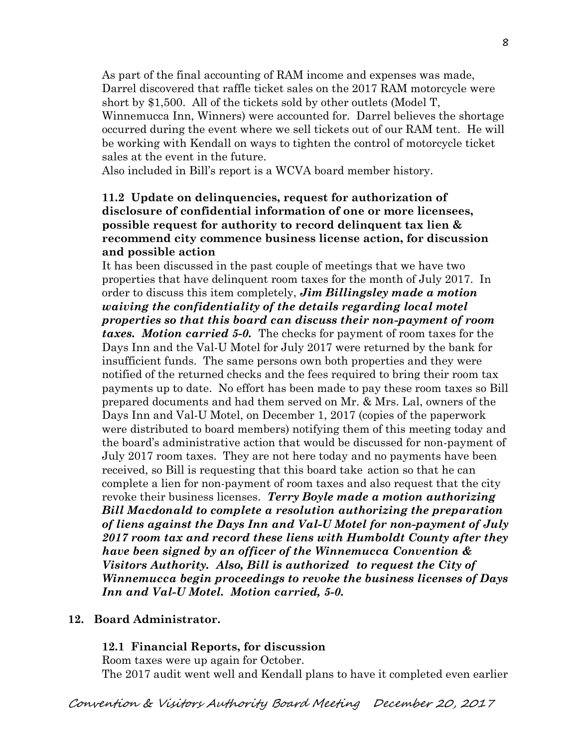As part of the final accounting of RAM income and expenses was made, Darrel discovered that raffle ticket sales on the 2017 RAM motorcycle were short by \$1,500. All of the tickets sold by other outlets (Model T, Winnemucca Inn, Winners) were accounted for. Darrel believes the shortage occurred during the event where we sell tickets out of our RAM tent. He will be working with Kendall on ways to tighten the control of motorcycle ticket sales at the event in the future.

Also included in Bill's report is a WCVA board member history.

### **11.2 Update on delinquencies, request for authorization of disclosure of confidential information of one or more licensees, possible request for authority to record delinquent tax lien & recommend city commence business license action, for discussion and possible action**

It has been discussed in the past couple of meetings that we have two properties that have delinquent room taxes for the month of July 2017. In order to discuss this item completely, *Jim Billingsley made a motion waiving the confidentiality of the details regarding local motel properties so that this board can discuss their non-payment of room taxes. Motion carried 5-0.* The checks for payment of room taxes for the Days Inn and the Val-U Motel for July 2017 were returned by the bank for insufficient funds. The same persons own both properties and they were notified of the returned checks and the fees required to bring their room tax payments up to date. No effort has been made to pay these room taxes so Bill prepared documents and had them served on Mr. & Mrs. Lal, owners of the Days Inn and Val-U Motel, on December 1, 2017 (copies of the paperwork were distributed to board members) notifying them of this meeting today and the board's administrative action that would be discussed for non-payment of July 2017 room taxes. They are not here today and no payments have been received, so Bill is requesting that this board take action so that he can complete a lien for non-payment of room taxes and also request that the city revoke their business licenses. *Terry Boyle made a motion authorizing Bill Macdonald to complete a resolution authorizing the preparation of liens against the Days Inn and Val-U Motel for non-payment of July 2017 room tax and record these liens with Humboldt County after they have been signed by an officer of the Winnemucca Convention & Visitors Authority. Also, Bill is authorized to request the City of Winnemucca begin proceedings to revoke the business licenses of Days Inn and Val-U Motel. Motion carried, 5-0.* 

### **12. Board Administrator.**

#### **12.1 Financial Reports, for discussion**

Room taxes were up again for October. The 2017 audit went well and Kendall plans to have it completed even earlier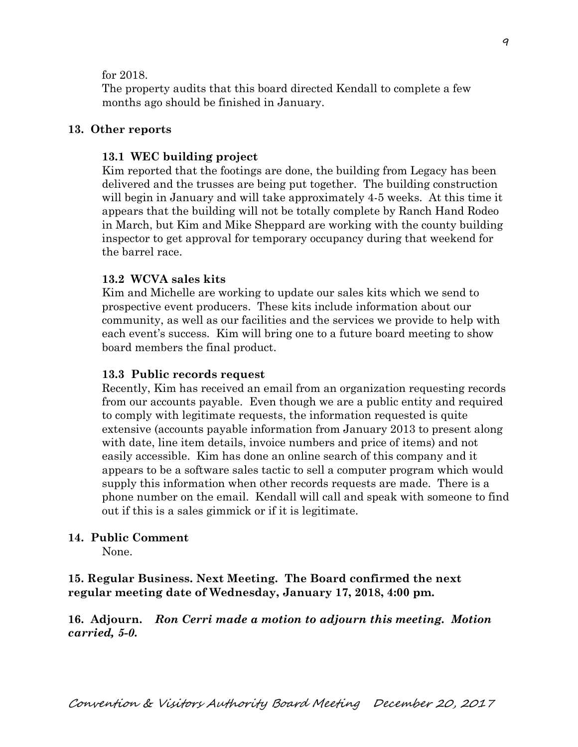#### for 2018.

The property audits that this board directed Kendall to complete a few months ago should be finished in January.

#### **13. Other reports**

#### **13.1 WEC building project**

Kim reported that the footings are done, the building from Legacy has been delivered and the trusses are being put together. The building construction will begin in January and will take approximately 4-5 weeks. At this time it appears that the building will not be totally complete by Ranch Hand Rodeo in March, but Kim and Mike Sheppard are working with the county building inspector to get approval for temporary occupancy during that weekend for the barrel race.

#### **13.2 WCVA sales kits**

Kim and Michelle are working to update our sales kits which we send to prospective event producers. These kits include information about our community, as well as our facilities and the services we provide to help with each event's success. Kim will bring one to a future board meeting to show board members the final product.

#### **13.3 Public records request**

Recently, Kim has received an email from an organization requesting records from our accounts payable. Even though we are a public entity and required to comply with legitimate requests, the information requested is quite extensive (accounts payable information from January 2013 to present along with date, line item details, invoice numbers and price of items) and not easily accessible. Kim has done an online search of this company and it appears to be a software sales tactic to sell a computer program which would supply this information when other records requests are made. There is a phone number on the email. Kendall will call and speak with someone to find out if this is a sales gimmick or if it is legitimate.

#### **14. Public Comment**

None.

**15. Regular Business. Next Meeting. The Board confirmed the next regular meeting date of Wednesday, January 17, 2018, 4:00 pm.** 

**16. Adjourn.** *Ron Cerri made a motion to adjourn this meeting. Motion carried, 5-0.*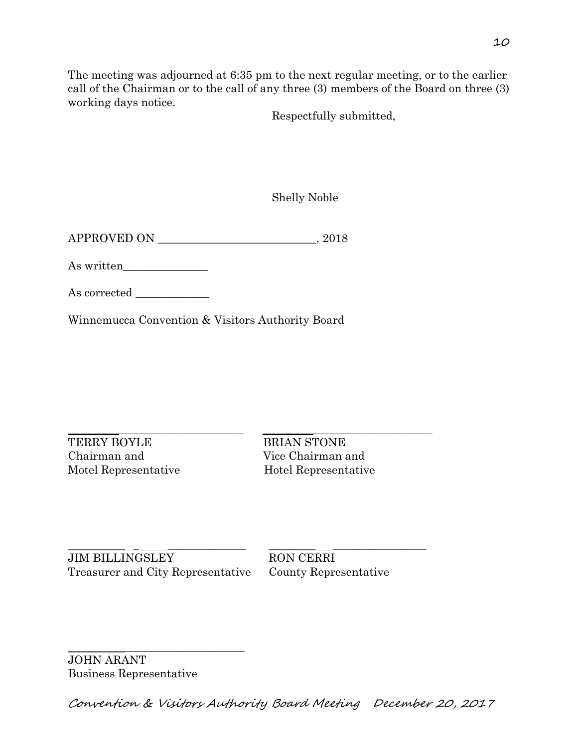The meeting was adjourned at 6:35 pm to the next regular meeting, or to the earlier call of the Chairman or to the call of any three (3) members of the Board on three (3) working days notice.

Respectfully submitted,

Shelly Noble

APPROVED ON \_\_\_\_\_\_\_\_\_\_\_\_\_\_\_\_\_\_\_\_\_\_\_\_\_\_\_\_, 2018

As written\_\_\_\_\_\_\_\_\_\_\_\_\_\_\_

As corrected

Winnemucca Convention & Visitors Authority Board

TERRY BOYLE BRIAN STONE Chairman and Vice Chairman and Motel Representative Hotel Representative

 $\_$  ,  $\_$  ,  $\_$  ,  $\_$  ,  $\_$  ,  $\_$  ,  $\_$  ,  $\_$  ,  $\_$  ,  $\_$  ,  $\_$  ,  $\_$  ,  $\_$  ,  $\_$  ,  $\_$  ,  $\_$  ,  $\_$  ,  $\_$  ,  $\_$  ,  $\_$  ,  $\_$  ,  $\_$  ,  $\_$  ,  $\_$  ,  $\_$  ,  $\_$  ,  $\_$  ,  $\_$  ,  $\_$  ,  $\_$  ,  $\_$  ,  $\_$  ,  $\_$  ,  $\_$  ,  $\_$  ,  $\_$  ,  $\_$  ,

\_\_\_\_\_\_\_\_\_\_\_ \_ \_\_\_\_\_\_\_\_\_\_\_\_\_\_\_ \_\_\_\_\_\_\_\_\_ \_\_\_\_\_\_\_\_\_\_\_\_\_\_\_\_\_\_ JIM BILLINGSLEY RON CERRI Treasurer and City Representative County Representative

\_\_\_\_\_\_\_\_\_\_\_\_\_\_\_\_\_\_\_\_\_\_\_\_\_\_\_\_\_\_\_\_\_\_ JOHN ARANT Business Representative